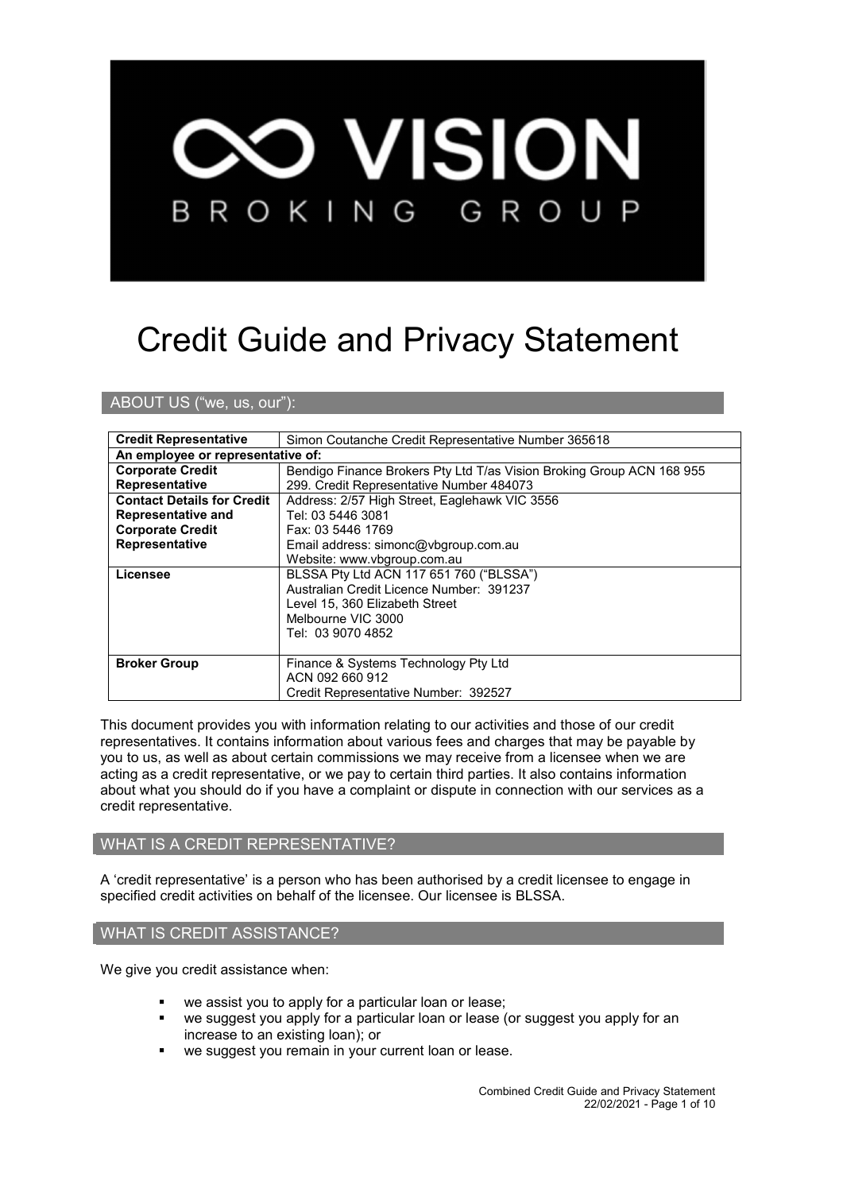

# Credit Guide and Privacy Statement

ABOUT US ("we, us, our"):

| <b>Credit Representative</b>                                              | Simon Coutanche Credit Representative Number 365618                                 |  |
|---------------------------------------------------------------------------|-------------------------------------------------------------------------------------|--|
| An employee or representative of:                                         |                                                                                     |  |
| <b>Corporate Credit</b>                                                   | Bendigo Finance Brokers Pty Ltd T/as Vision Broking Group ACN 168 955               |  |
| <b>Representative</b>                                                     | 299. Credit Representative Number 484073                                            |  |
| <b>Contact Details for Credit</b>                                         | Address: 2/57 High Street, Eaglehawk VIC 3556                                       |  |
| Representative and                                                        | Tel: 03 5446 3081                                                                   |  |
| <b>Corporate Credit</b>                                                   | Fax: 03 5446 1769                                                                   |  |
| <b>Representative</b>                                                     | Email address: simonc@vbgroup.com.au                                                |  |
|                                                                           | Website: www.vbgroup.com.au                                                         |  |
| Licensee                                                                  | BLSSA Pty Ltd ACN 117 651 760 ("BLSSA")<br>Australian Credit Licence Number: 391237 |  |
|                                                                           |                                                                                     |  |
| Level 15, 360 Elizabeth Street<br>Melbourne VIC 3000<br>Tel: 03 9070 4852 |                                                                                     |  |
|                                                                           |                                                                                     |  |
|                                                                           |                                                                                     |  |
|                                                                           |                                                                                     |  |
| <b>Broker Group</b>                                                       | Finance & Systems Technology Pty Ltd                                                |  |
|                                                                           | ACN 092 660 912                                                                     |  |
|                                                                           | Credit Representative Number: 392527                                                |  |

This document provides you with information relating to our activities and those of our credit representatives. It contains information about various fees and charges that may be payable by you to us, as well as about certain commissions we may receive from a licensee when we are acting as a credit representative, or we pay to certain third parties. It also contains information about what you should do if you have a complaint or dispute in connection with our services as a credit representative.

## WHAT IS A CREDIT REPRESENTATIVE?

A 'credit representative' is a person who has been authorised by a credit licensee to engage in specified credit activities on behalf of the licensee. Our licensee is BLSSA.

#### WHAT IS CREDIT ASSISTANCE?

We give you credit assistance when:

- we assist you to apply for a particular loan or lease;
- we suggest you apply for a particular loan or lease (or suggest you apply for an increase to an existing loan); or
- we suggest you remain in your current loan or lease.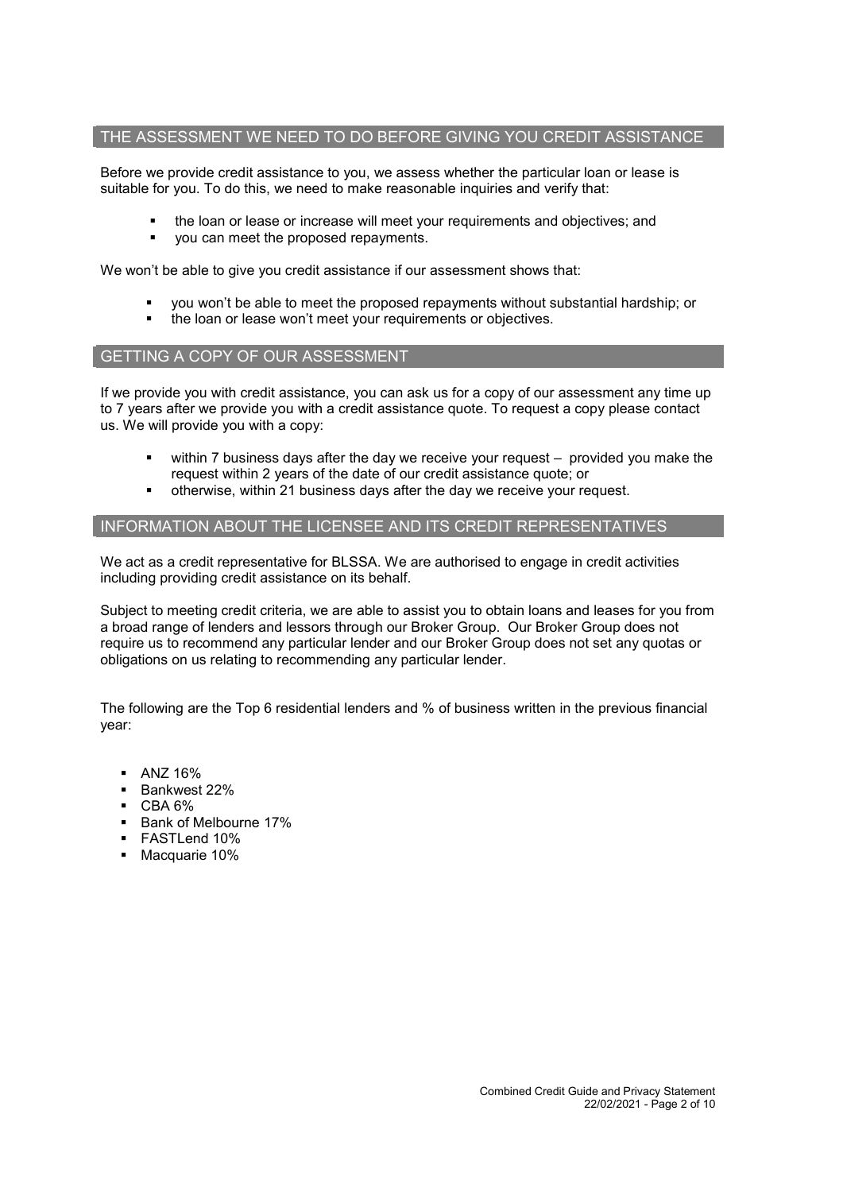#### THE ASSESSMENT WE NEED TO DO BEFORE GIVING YOU CREDIT ASSISTANCE

Before we provide credit assistance to you, we assess whether the particular loan or lease is suitable for you. To do this, we need to make reasonable inquiries and verify that:

- the loan or lease or increase will meet your requirements and objectives; and
- you can meet the proposed repayments.

We won't be able to give you credit assistance if our assessment shows that:

- you won't be able to meet the proposed repayments without substantial hardship; or
- the loan or lease won't meet your requirements or objectives.

## GETTING A COPY OF OUR ASSESSMENT

If we provide you with credit assistance, you can ask us for a copy of our assessment any time up to 7 years after we provide you with a credit assistance quote. To request a copy please contact us. We will provide you with a copy:

- within 7 business days after the day we receive your request provided you make the request within 2 years of the date of our credit assistance quote; or
- otherwise, within 21 business days after the day we receive your request.

# INFORMATION ABOUT THE LICENSEE AND ITS CREDIT REPRESENTATIVES

We act as a credit representative for BLSSA. We are authorised to engage in credit activities including providing credit assistance on its behalf.

Subject to meeting credit criteria, we are able to assist you to obtain loans and leases for you from a broad range of lenders and lessors through our Broker Group. Our Broker Group does not require us to recommend any particular lender and our Broker Group does not set any quotas or obligations on us relating to recommending any particular lender.

The following are the Top 6 residential lenders and % of business written in the previous financial year:

- $-$  ANZ 16%
- Bankwest 22%
- CBA 6%
- **Bank of Melbourne 17%**
- FASTLend 10%
- Macquarie 10%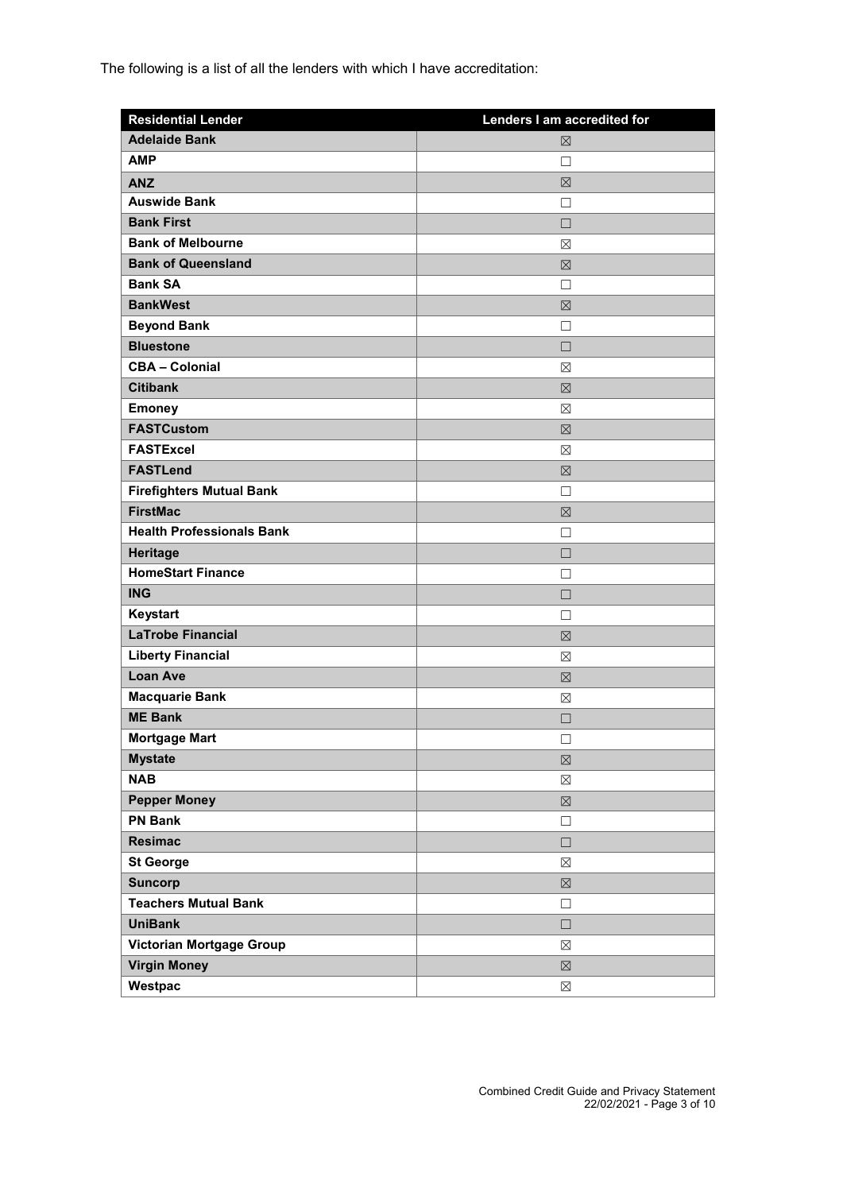The following is a list of all the lenders with which I have accreditation:

| <b>Residential Lender</b>        | Lenders I am accredited for |
|----------------------------------|-----------------------------|
| <b>Adelaide Bank</b>             | $\boxtimes$                 |
| <b>AMP</b>                       | П                           |
| <b>ANZ</b>                       | 区                           |
| <b>Auswide Bank</b>              | П                           |
| <b>Bank First</b>                | $\Box$                      |
| <b>Bank of Melbourne</b>         | ⊠                           |
| <b>Bank of Queensland</b>        | 区                           |
| <b>Bank SA</b>                   | П                           |
| <b>BankWest</b>                  | 区                           |
| <b>Beyond Bank</b>               | $\Box$                      |
| <b>Bluestone</b>                 | $\Box$                      |
| <b>CBA - Colonial</b>            | $\boxtimes$                 |
| <b>Citibank</b>                  | ⊠                           |
| <b>Emoney</b>                    | ⊠                           |
| <b>FASTCustom</b>                | 区                           |
| <b>FASTExcel</b>                 | ⊠                           |
| <b>FASTLend</b>                  | 区                           |
| <b>Firefighters Mutual Bank</b>  | □                           |
| <b>FirstMac</b>                  | $\boxtimes$                 |
| <b>Health Professionals Bank</b> | П                           |
| Heritage                         | $\Box$                      |
| <b>HomeStart Finance</b>         | П                           |
| <b>ING</b>                       | $\Box$                      |
| Keystart                         | П                           |
| <b>LaTrobe Financial</b>         | 区                           |
| <b>Liberty Financial</b>         | $\boxtimes$                 |
| <b>Loan Ave</b>                  | 区                           |
| <b>Macquarie Bank</b>            | ⊠                           |
| <b>ME Bank</b>                   | П                           |
| <b>Mortgage Mart</b>             | □                           |
| <b>Mystate</b>                   | $\boxtimes$                 |
| <b>NAB</b>                       | $\boxtimes$                 |
| <b>Pepper Money</b>              | $\boxtimes$                 |
| <b>PN Bank</b>                   | $\Box$                      |
| <b>Resimac</b>                   | $\Box$                      |
| <b>St George</b>                 | $\boxtimes$                 |
| <b>Suncorp</b>                   | $\boxtimes$                 |
| <b>Teachers Mutual Bank</b>      | $\Box$                      |
| <b>UniBank</b>                   | $\Box$                      |
| Victorian Mortgage Group         | $\boxtimes$                 |
| <b>Virgin Money</b>              | $\boxtimes$                 |
| Westpac                          | $\boxtimes$                 |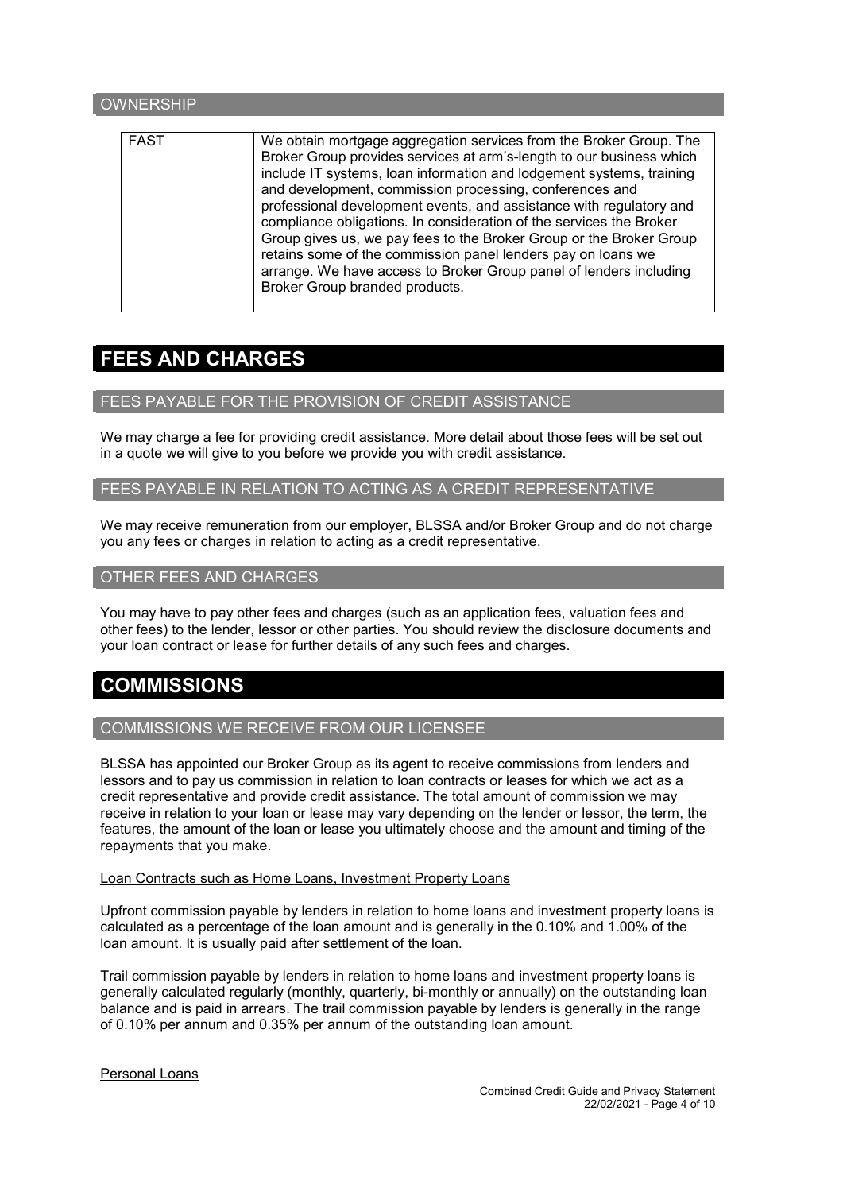# **OWNERSHIP** FAST We obtain mortgage aggregation services from the Broker Group. The Broker Group provides services at arm's-length to our business which include IT systems, loan information and lodgement systems, training and development, commission processing, conferences and professional development events, and assistance with regulatory and compliance obligations. In consideration of the services the Broker Group gives us, we pay fees to the Broker Group or the Broker Group retains some of the commission panel lenders pay on loans we arrange. We have access to Broker Group panel of lenders including Broker Group branded products.

# FEES AND CHARGES

## FEES PAYABLE FOR THE PROVISION OF CREDIT ASSISTANCE

We may charge a fee for providing credit assistance. More detail about those fees will be set out in a quote we will give to you before we provide you with credit assistance.

#### FEES PAYABLE IN RELATION TO ACTING AS A CREDIT REPRESENTATIVE

We may receive remuneration from our employer, BLSSA and/or Broker Group and do not charge you any fees or charges in relation to acting as a credit representative.

#### OTHER FEES AND CHARGES

You may have to pay other fees and charges (such as an application fees, valuation fees and other fees) to the lender, lessor or other parties. You should review the disclosure documents and your loan contract or lease for further details of any such fees and charges.

# **COMMISSIONS**

# COMMISSIONS WE RECEIVE FROM OUR LICENSEE

BLSSA has appointed our Broker Group as its agent to receive commissions from lenders and lessors and to pay us commission in relation to loan contracts or leases for which we act as a credit representative and provide credit assistance. The total amount of commission we may receive in relation to your loan or lease may vary depending on the lender or lessor, the term, the features, the amount of the loan or lease you ultimately choose and the amount and timing of the repayments that you make.

#### Loan Contracts such as Home Loans, Investment Property Loans

Upfront commission payable by lenders in relation to home loans and investment property loans is calculated as a percentage of the loan amount and is generally in the 0.10% and 1.00% of the loan amount. It is usually paid after settlement of the loan.

Trail commission payable by lenders in relation to home loans and investment property loans is generally calculated regularly (monthly, quarterly, bi-monthly or annually) on the outstanding loan balance and is paid in arrears. The trail commission payable by lenders is generally in the range of 0.10% per annum and 0.35% per annum of the outstanding loan amount.

#### Personal Loans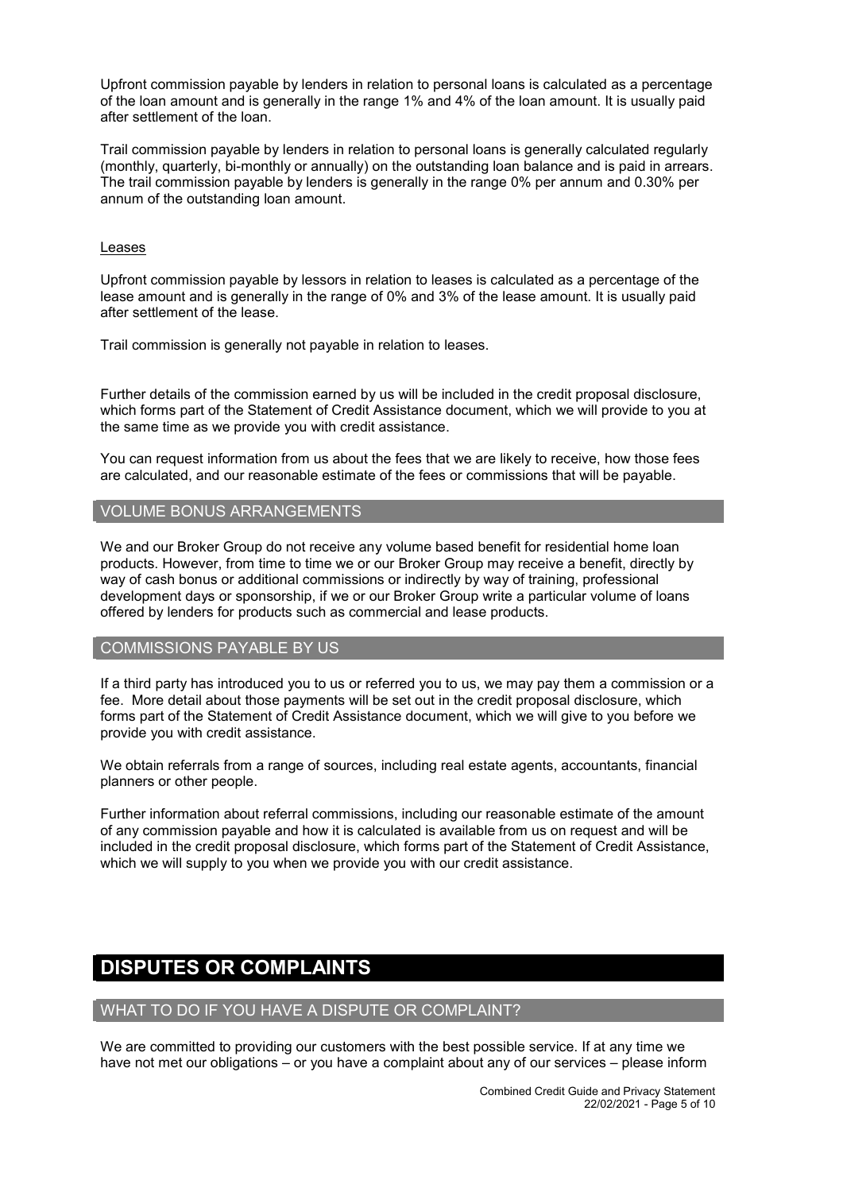Upfront commission payable by lenders in relation to personal loans is calculated as a percentage of the loan amount and is generally in the range 1% and 4% of the loan amount. It is usually paid after settlement of the loan.

Trail commission payable by lenders in relation to personal loans is generally calculated regularly (monthly, quarterly, bi-monthly or annually) on the outstanding loan balance and is paid in arrears. The trail commission payable by lenders is generally in the range 0% per annum and 0.30% per annum of the outstanding loan amount.

#### Leases

Upfront commission payable by lessors in relation to leases is calculated as a percentage of the lease amount and is generally in the range of 0% and 3% of the lease amount. It is usually paid after settlement of the lease.

Trail commission is generally not payable in relation to leases.

Further details of the commission earned by us will be included in the credit proposal disclosure, which forms part of the Statement of Credit Assistance document, which we will provide to you at the same time as we provide you with credit assistance.

You can request information from us about the fees that we are likely to receive, how those fees are calculated, and our reasonable estimate of the fees or commissions that will be payable.

#### VOLUME BONUS ARRANGEMENTS

We and our Broker Group do not receive any volume based benefit for residential home loan products. However, from time to time we or our Broker Group may receive a benefit, directly by way of cash bonus or additional commissions or indirectly by way of training, professional development days or sponsorship, if we or our Broker Group write a particular volume of loans offered by lenders for products such as commercial and lease products.

#### COMMISSIONS PAYABLE BY US

If a third party has introduced you to us or referred you to us, we may pay them a commission or a fee. More detail about those payments will be set out in the credit proposal disclosure, which forms part of the Statement of Credit Assistance document, which we will give to you before we provide you with credit assistance.

We obtain referrals from a range of sources, including real estate agents, accountants, financial planners or other people.

Further information about referral commissions, including our reasonable estimate of the amount of any commission payable and how it is calculated is available from us on request and will be included in the credit proposal disclosure, which forms part of the Statement of Credit Assistance, which we will supply to you when we provide you with our credit assistance.

# DISPUTES OR COMPLAINTS

# WHAT TO DO IF YOU HAVE A DISPUTE OR COMPLAINT?

We are committed to providing our customers with the best possible service. If at any time we have not met our obligations – or you have a complaint about any of our services – please inform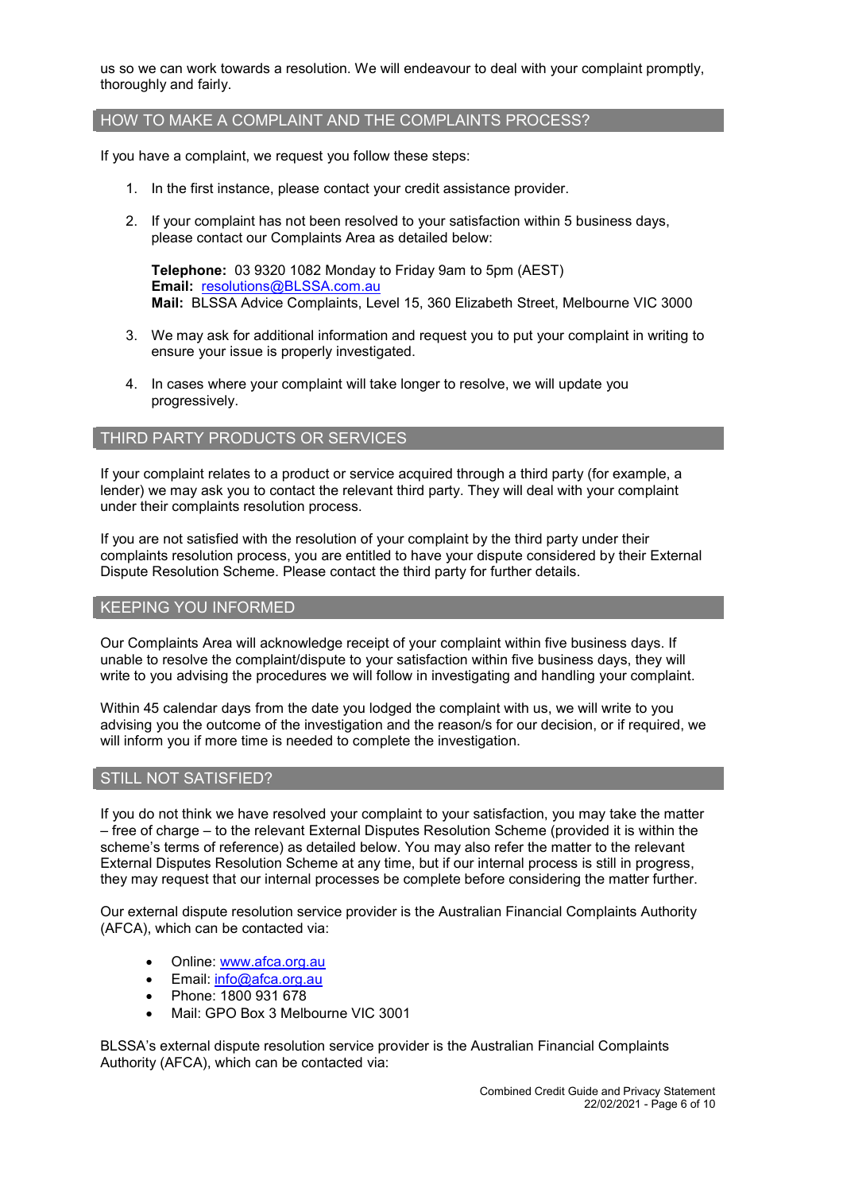us so we can work towards a resolution. We will endeavour to deal with your complaint promptly, thoroughly and fairly.

#### HOW TO MAKE A COMPLAINT AND THE COMPLAINTS PROCESS?

If you have a complaint, we request you follow these steps:

- 1. In the first instance, please contact your credit assistance provider.
- 2. If your complaint has not been resolved to your satisfaction within 5 business days, please contact our Complaints Area as detailed below:

Telephone: 03 9320 1082 Monday to Friday 9am to 5pm (AEST) Email: [resolutions@BLSSA.com.au](mailto:resolutions@BLSSA.com.au) Mail: BLSSA Advice Complaints, Level 15, 360 Elizabeth Street, Melbourne VIC 3000

- 3. We may ask for additional information and request you to put your complaint in writing to ensure your issue is properly investigated.
- 4. In cases where your complaint will take longer to resolve, we will update you progressively.

#### THIRD PARTY PRODUCTS OR SERVICES

If your complaint relates to a product or service acquired through a third party (for example, a lender) we may ask you to contact the relevant third party. They will deal with your complaint under their complaints resolution process.

If you are not satisfied with the resolution of your complaint by the third party under their complaints resolution process, you are entitled to have your dispute considered by their External Dispute Resolution Scheme. Please contact the third party for further details.

#### KEEPING YOU INFORMED

Our Complaints Area will acknowledge receipt of your complaint within five business days. If unable to resolve the complaint/dispute to your satisfaction within five business days, they will write to you advising the procedures we will follow in investigating and handling your complaint.

Within 45 calendar days from the date you lodged the complaint with us, we will write to you advising you the outcome of the investigation and the reason/s for our decision, or if required, we will inform you if more time is needed to complete the investigation.

#### STILL NOT SATISFIED?

If you do not think we have resolved your complaint to your satisfaction, you may take the matter – free of charge – to the relevant External Disputes Resolution Scheme (provided it is within the scheme's terms of reference) as detailed below. You may also refer the matter to the relevant External Disputes Resolution Scheme at any time, but if our internal process is still in progress, they may request that our internal processes be complete before considering the matter further.

Our external dispute resolution service provider is the Australian Financial Complaints Authority (AFCA), which can be contacted via:

- Online: [www.afca.org.au](http://www.afca.org.au/)
- Email: [info@afca.org.au](mailto:info@afc.org.au)
- Phone: 1800 931 678
- Mail: GPO Box 3 Melbourne VIC 3001

BLSSA's external dispute resolution service provider is the Australian Financial Complaints Authority (AFCA), which can be contacted via: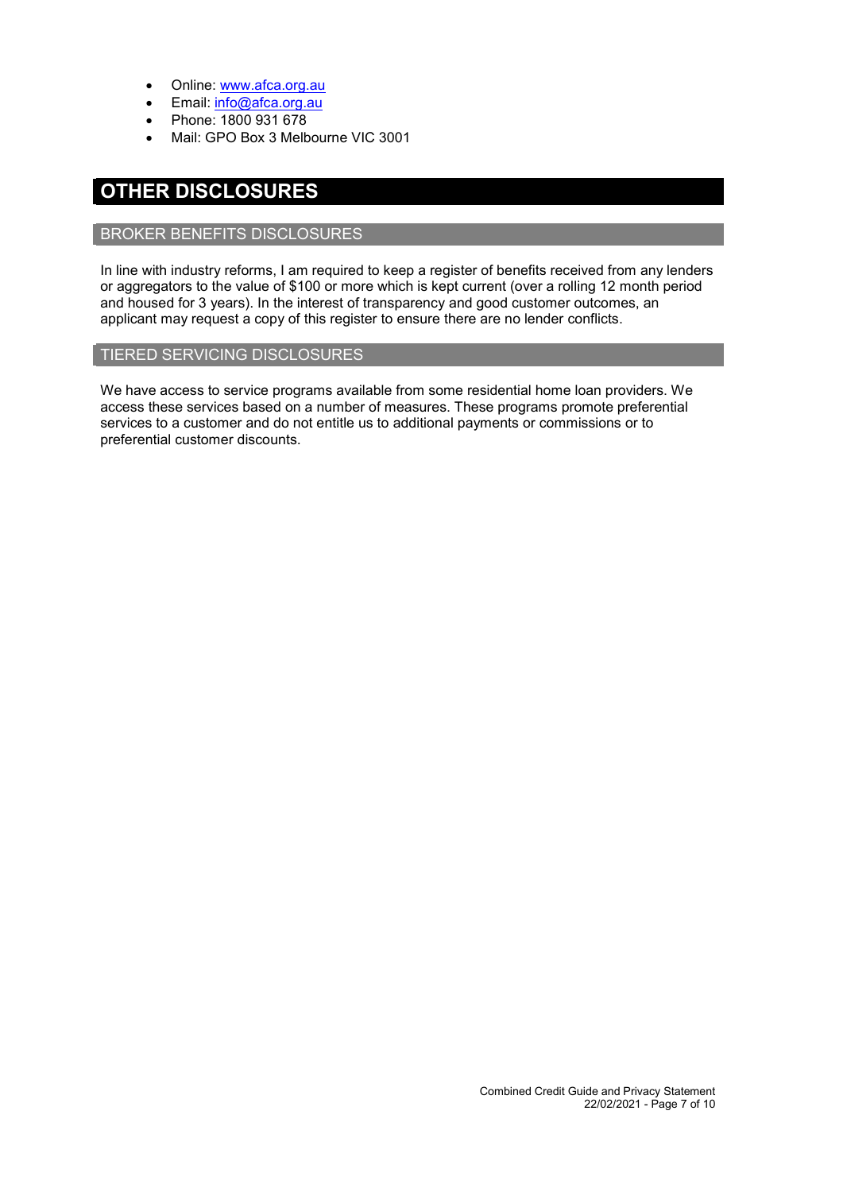- Online: [www.afca.org.au](http://www.afca.org.au/)
- Email: [info@afca.org.au](mailto:info@afc.org.au)
- Phone: 1800 931 678
- Mail: GPO Box 3 Melbourne VIC 3001

# OTHER DISCLOSURES

#### BROKER BENEFITS DISCLOSURES

In line with industry reforms, I am required to keep a register of benefits received from any lenders or aggregators to the value of \$100 or more which is kept current (over a rolling 12 month period and housed for 3 years). In the interest of transparency and good customer outcomes, an applicant may request a copy of this register to ensure there are no lender conflicts.

#### TIERED SERVICING DISCLOSURES

We have access to service programs available from some residential home loan providers. We access these services based on a number of measures. These programs promote preferential services to a customer and do not entitle us to additional payments or commissions or to preferential customer discounts.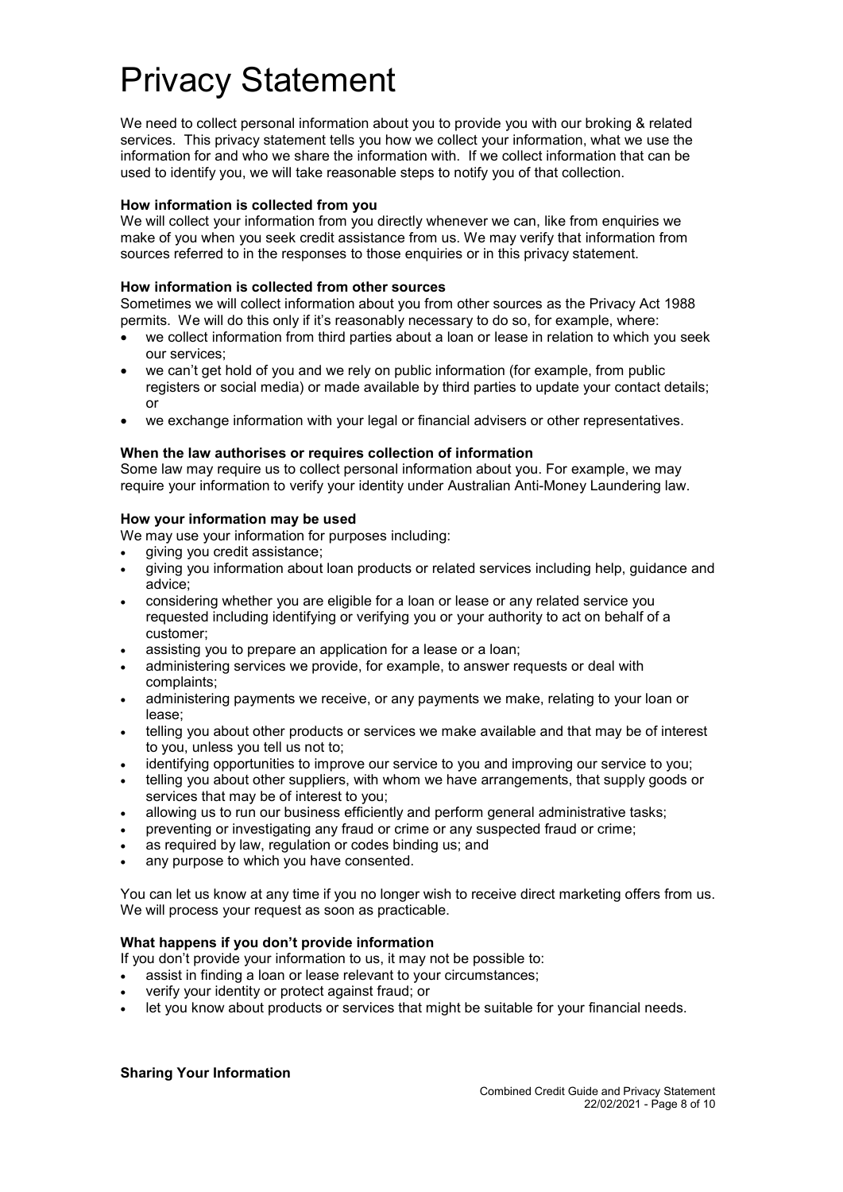# Privacy Statement

We need to collect personal information about you to provide you with our broking & related services. This privacy statement tells you how we collect your information, what we use the information for and who we share the information with. If we collect information that can be used to identify you, we will take reasonable steps to notify you of that collection.

#### How information is collected from you

We will collect your information from you directly whenever we can, like from enquiries we make of you when you seek credit assistance from us. We may verify that information from sources referred to in the responses to those enquiries or in this privacy statement.

#### How information is collected from other sources

Sometimes we will collect information about you from other sources as the Privacy Act 1988 permits. We will do this only if it's reasonably necessary to do so, for example, where:

- we collect information from third parties about a loan or lease in relation to which you seek our services;
- we can't get hold of you and we rely on public information (for example, from public registers or social media) or made available by third parties to update your contact details; or
- we exchange information with your legal or financial advisers or other representatives.

#### When the law authorises or requires collection of information

Some law may require us to collect personal information about you. For example, we may require your information to verify your identity under Australian Anti-Money Laundering law.

#### How your information may be used

We may use your information for purposes including:

- giving you credit assistance;
- giving you information about loan products or related services including help, guidance and advice;
- considering whether you are eligible for a loan or lease or any related service you requested including identifying or verifying you or your authority to act on behalf of a customer;
- assisting you to prepare an application for a lease or a loan;
- administering services we provide, for example, to answer requests or deal with complaints;
- administering payments we receive, or any payments we make, relating to your loan or lease;
- telling you about other products or services we make available and that may be of interest to you, unless you tell us not to;
- identifying opportunities to improve our service to you and improving our service to you;
- telling you about other suppliers, with whom we have arrangements, that supply goods or services that may be of interest to you;
- allowing us to run our business efficiently and perform general administrative tasks;
- preventing or investigating any fraud or crime or any suspected fraud or crime;
- as required by law, regulation or codes binding us; and
- any purpose to which you have consented.

You can let us know at any time if you no longer wish to receive direct marketing offers from us. We will process your request as soon as practicable.

#### What happens if you don't provide information

If you don't provide your information to us, it may not be possible to:

- assist in finding a loan or lease relevant to your circumstances;
- verify your identity or protect against fraud; or
- let you know about products or services that might be suitable for your financial needs.

#### Sharing Your Information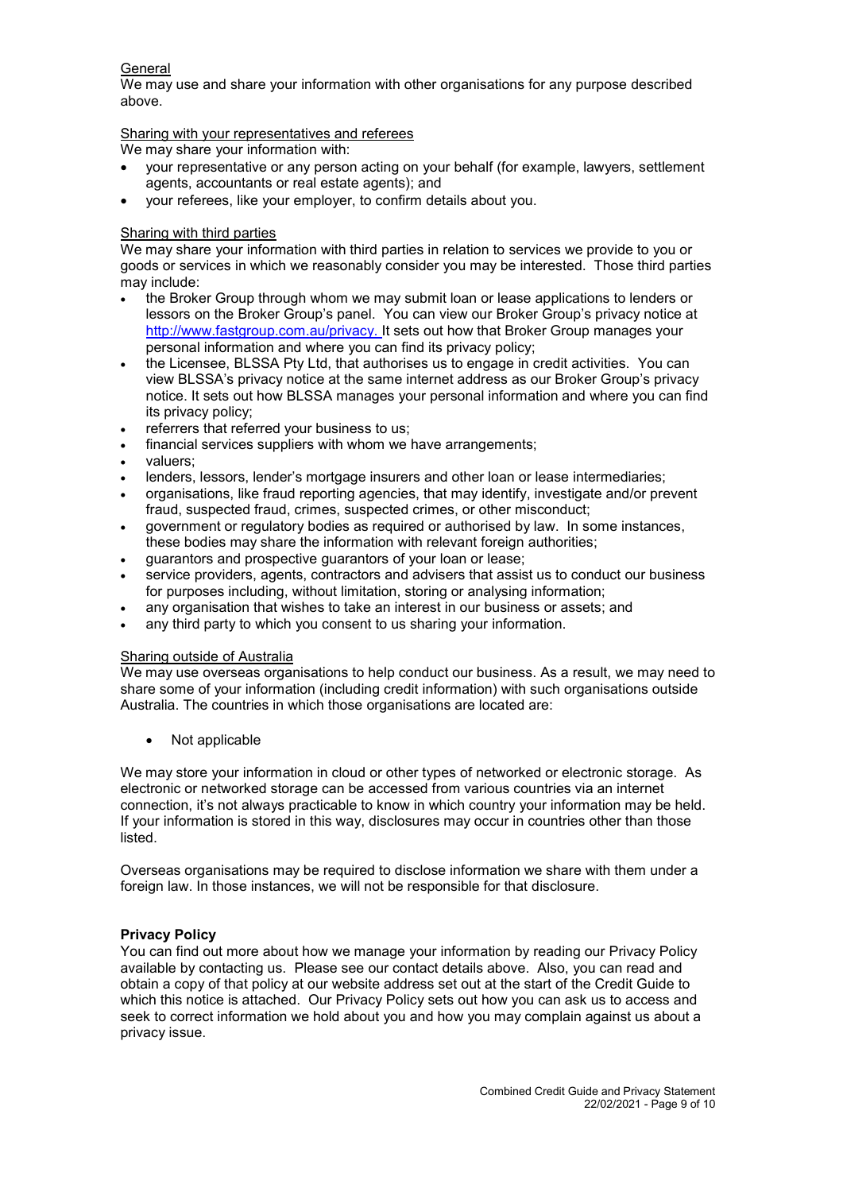#### **General**

We may use and share your information with other organisations for any purpose described above.

Sharing with your representatives and referees

We may share your information with:

- your representative or any person acting on your behalf (for example, lawyers, settlement agents, accountants or real estate agents); and
- your referees, like your employer, to confirm details about you.

## Sharing with third parties

We may share your information with third parties in relation to services we provide to you or goods or services in which we reasonably consider you may be interested. Those third parties may include:

- the Broker Group through whom we may submit loan or lease applications to lenders or lessors on the Broker Group's panel. You can view our Broker Group's privacy notice at <http://www.fastgroup.com.au/privacy>. It sets out how that Broker Group manages your personal information and where you can find its privacy policy;
- the Licensee, BLSSA Pty Ltd, that authorises us to engage in credit activities. You can view BLSSA's privacy notice at the same internet address as our Broker Group's privacy notice. It sets out how BLSSA manages your personal information and where you can find its privacy policy;
- referrers that referred your business to us;
- financial services suppliers with whom we have arrangements;
- valuers;
- lenders, lessors, lender's mortgage insurers and other loan or lease intermediaries;
- organisations, like fraud reporting agencies, that may identify, investigate and/or prevent fraud, suspected fraud, crimes, suspected crimes, or other misconduct;
- government or regulatory bodies as required or authorised by law. In some instances, these bodies may share the information with relevant foreign authorities;
- guarantors and prospective guarantors of your loan or lease;
- service providers, agents, contractors and advisers that assist us to conduct our business for purposes including, without limitation, storing or analysing information;
- any organisation that wishes to take an interest in our business or assets; and
- any third party to which you consent to us sharing your information.

#### Sharing outside of Australia

We may use overseas organisations to help conduct our business. As a result, we may need to share some of your information (including credit information) with such organisations outside Australia. The countries in which those organisations are located are:

• Not applicable

We may store your information in cloud or other types of networked or electronic storage. As electronic or networked storage can be accessed from various countries via an internet connection, it's not always practicable to know in which country your information may be held. If your information is stored in this way, disclosures may occur in countries other than those listed.

Overseas organisations may be required to disclose information we share with them under a foreign law. In those instances, we will not be responsible for that disclosure.

# Privacy Policy

You can find out more about how we manage your information by reading our Privacy Policy available by contacting us. Please see our contact details above. Also, you can read and obtain a copy of that policy at our website address set out at the start of the Credit Guide to which this notice is attached. Our Privacy Policy sets out how you can ask us to access and seek to correct information we hold about you and how you may complain against us about a privacy issue.